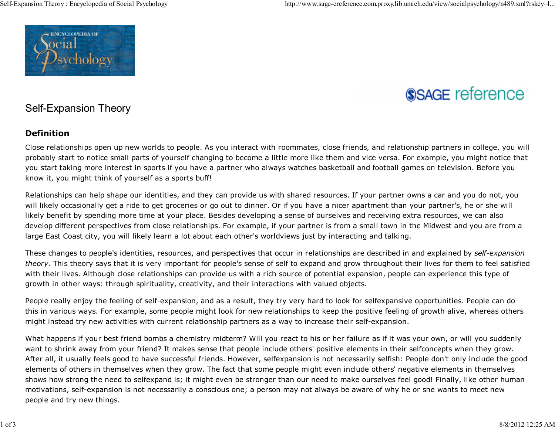

# **SSAGE reference**

## Self-Expansion Theory

### **Definition**

Close relationships open up new worlds to people. As you interact with roommates, close friends, and relationship partners in college, you willprobably start to notice small parts of yourself changing to become a little more like them and vice versa. For example, you might notice thatyou start taking more interest in sports if you have a partner who always watches basketball and football games on television. Before youknow it, you might think of yourself as a sports buff!

Relationships can help shape our identities, and they can provide us with shared resources. If your partner owns a car and you do not, youwill likely occasionally get a ride to get groceries or go out to dinner. Or if you have a nicer apartment than your partner's, he or she willlikely benefit by spending more time at your place. Besides developing a sense of ourselves and receiving extra resources, we can also develop different perspectives from close relationships. For example, if your partner is from a small town in the Midwest and you are from alarge East Coast city, you will likely learn a lot about each other's worldviews just by interacting and talking.

These changes to people's identities, resources, and perspectives that occur in relationships are described in and explained by *self-expansion theory.* This theory says that it is very important for people's sense of self to expand and grow throughout their lives for them to feel satisfiedwith their lives. Although close relationships can provide us with a rich source of potential expansion, people can experience this type ofgrowth in other ways: through spirituality, creativity, and their interactions with valued objects.

People really enjoy the feeling of self-expansion, and as a result, they try very hard to look for selfexpansive opportunities. People can do this in various ways. For example, some people might look for new relationships to keep the positive feeling of growth alive, whereas othersmight instead try new activities with current relationship partners as a way to increase their self-expansion.

What happens if your best friend bombs a chemistry midterm? Will you react to his or her failure as if it was your own, or will you suddenlywant to shrink away from your friend? It makes sense that people include others' positive elements in their selfconcepts when they grow.After all, it usually feels good to have successful friends. However, selfexpansion is not necessarily selfish: People don't only include the goodelements of others in themselves when they grow. The fact that some people might even include others' negative elements in themselves shows how strong the need to selfexpand is; it might even be stronger than our need to make ourselves feel good! Finally, like other humanmotivations, self-expansion is not necessarily a conscious one; a person may not always be aware of why he or she wants to meet newpeople and try new things.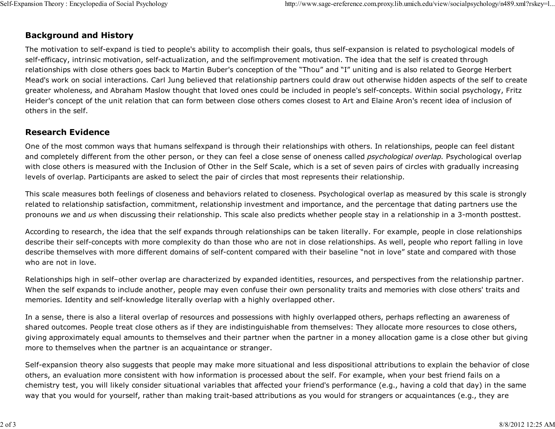#### **Background and History**

The motivation to self-expand is tied to people's ability to accomplish their goals, thus self-expansion is related to psychological models ofself-efficacy, intrinsic motivation, self-actualization, and the selfimprovement motivation. The idea that the self is created through relationships with close others goes back to Martin Buber's conception of the "Thou" and "I" uniting and is also related to George Herbert Mead's work on social interactions. Carl Jung believed that relationship partners could draw out otherwise hidden aspects of the self to create greater wholeness, and Abraham Maslow thought that loved ones could be included in people's self-concepts. Within social psychology, FritzHeider's concept of the unit relation that can form between close others comes closest to Art and Elaine Aron's recent idea of inclusion ofothers in the self.

#### **Research Evidence**

One of the most common ways that humans selfexpand is through their relationships with others. In relationships, people can feel distantand completely different from the other person, or they can feel a close sense of oneness called *psychological overlap.* Psychological overlap with close others is measured with the Inclusion of Other in the Self Scale, which is a set of seven pairs of circles with gradually increasinglevels of overlap. Participants are asked to select the pair of circles that most represents their relationship.

This scale measures both feelings of closeness and behaviors related to closeness. Psychological overlap as measured by this scale is stronglyrelated to relationship satisfaction, commitment, relationship investment and importance, and the percentage that dating partners use thepronouns *we* and *us* when discussing their relationship. This scale also predicts whether people stay in a relationship in a 3-month posttest.

According to research, the idea that the self expands through relationships can be taken literally. For example, people in close relationships describe their self-concepts with more complexity do than those who are not in close relationships. As well, people who report falling in lovedescribe themselves with more different domains of self-content compared with their baseline "not in love" state and compared with thosewho are not in love.

Relationships high in self–other overlap are characterized by expanded identities, resources, and perspectives from the relationship partner.When the self expands to include another, people may even confuse their own personality traits and memories with close others' traits andmemories. Identity and self-knowledge literally overlap with a highly overlapped other.

In a sense, there is also a literal overlap of resources and possessions with highly overlapped others, perhaps reflecting an awareness ofshared outcomes. People treat close others as if they are indistinguishable from themselves: They allocate more resources to close others,giving approximately equal amounts to themselves and their partner when the partner in a money allocation game is a close other but givingmore to themselves when the partner is an acquaintance or stranger.

Self-expansion theory also suggests that people may make more situational and less dispositional attributions to explain the behavior of closeothers, an evaluation more consistent with how information is processed about the self. For example, when your best friend fails on a chemistry test, you will likely consider situational variables that affected your friend's performance (e.g., having a cold that day) in the sameway that you would for yourself, rather than making trait-based attributions as you would for strangers or acquaintances (e.g., they are